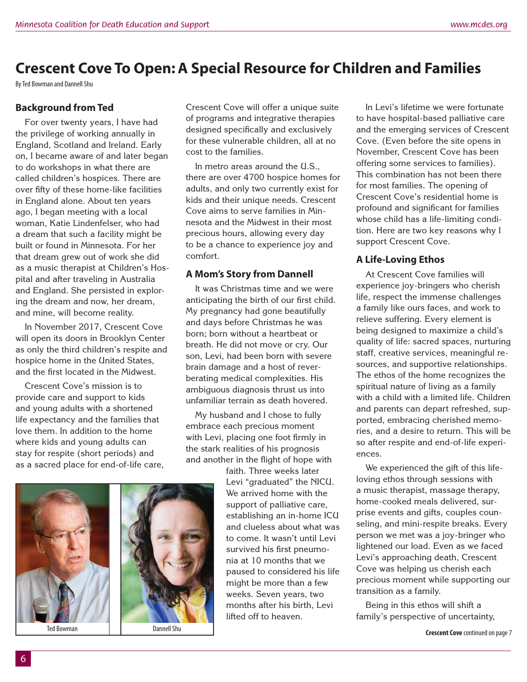# **Crescent Cove To Open: A Special Resource for Children and Families**

By Ted Bowman and Dannell Shu

## **Background from Ted**

For over twenty years, I have had the privilege of working annually in England, Scotland and Ireland. Early on, I became aware of and later began to do workshops in what there are called children's hospices. There are over fifty of these home-like facilities in England alone. About ten years ago, I began meeting with a local woman, Katie Lindenfelser, who had a dream that such a facility might be built or found in Minnesota. For her that dream grew out of work she did as a music therapist at Children's Hospital and after traveling in Australia and England. She persisted in exploring the dream and now, her dream, and mine, will become reality.

In November 2017, Crescent Cove will open its doors in Brooklyn Center as only the third children's respite and hospice home in the United States, and the first located in the Midwest

Crescent Cove's mission is to provide care and support to kids and young adults with a shortened life expectancy and the families that love them. In addition to the home where kids and young adults can stay for respite (short periods) and as a sacred place for end-of-life care,

Crescent Cove will offer a unique suite of programs and integrative therapies designed specifically and exclusively for these vulnerable children, all at no cost to the families.

In metro areas around the U.S., there are over 4700 hospice homes for adults, and only two currently exist for kids and their unique needs. Crescent Cove aims to serve families in Minnesota and the Midwest in their most precious hours, allowing every day to be a chance to experience joy and comfort.

#### **A Mom's Story from Dannell**

It was Christmas time and we were anticipating the birth of our first child. My pregnancy had gone beautifully and days before Christmas he was born; born without a heartbeat or breath. He did not move or cry. Our son, Levi, had been born with severe brain damage and a host of reverberating medical complexities. His ambiguous diagnosis thrust us into unfamiliar terrain as death hovered.

My husband and I chose to fully embrace each precious moment with Levi, placing one foot firmly in the stark realities of his prognosis and another in the flight of hope with

> faith. Three weeks later Levi "graduated" the NICU. We arrived home with the support of palliative care, establishing an in-home ICU and clueless about what was to come. It wasn't until Levi survived his first pneumonia at 10 months that we paused to considered his life might be more than a few weeks. Seven years, two months after his birth, Levi lifted off to heaven.

In Levi's lifetime we were fortunate to have hospital-based palliative care and the emerging services of Crescent Cove. (Even before the site opens in November, Crescent Cove has been offering some services to families). This combination has not been there for most families. The opening of Crescent Cove's residential home is profound and significant for families whose child has a life-limiting condition. Here are two key reasons why I support Crescent Cove.

# **A Life-Loving Ethos**

At Crescent Cove families will experience joy-bringers who cherish life, respect the immense challenges a family like ours faces, and work to relieve suffering. Every element is being designed to maximize a child's quality of life: sacred spaces, nurturing staff, creative services, meaningful resources, and supportive relationships. The ethos of the home recognizes the spiritual nature of living as a family with a child with a limited life. Children and parents can depart refreshed, supported, embracing cherished memories, and a desire to return. This will be so after respite and end-of-life experiences.

We experienced the gift of this lifeloving ethos through sessions with a music therapist, massage therapy, home-cooked meals delivered, surprise events and gifts, couples counseling, and mini-respite breaks. Every person we met was a joy-bringer who lightened our load. Even as we faced Levi's approaching death, Crescent Cove was helping us cherish each precious moment while supporting our transition as a family.

Being in this ethos will shift a family's perspective of uncertainty,